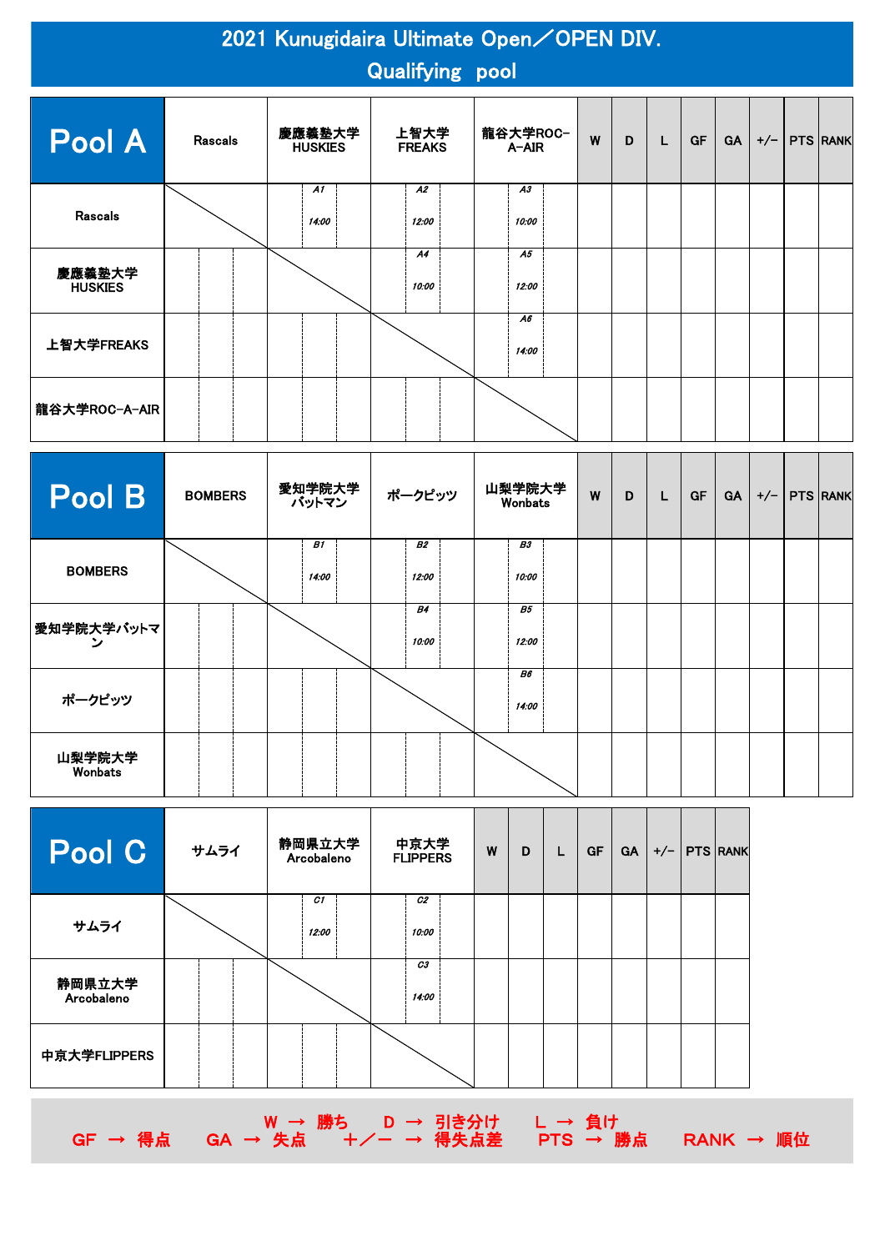|                          | 2021 Kunugidaira Ultimate Open/OPEN DIV.<br><b>Qualifying pool</b> |                          |                       |                   |   |   |  |           |           |       |  |                 |
|--------------------------|--------------------------------------------------------------------|--------------------------|-----------------------|-------------------|---|---|--|-----------|-----------|-------|--|-----------------|
| Pool A                   | <b>Rascals</b>                                                     | 慶應義塾大学<br><b>HUSKIES</b> | 上智大学<br><b>FREAKS</b> | 龍谷大学ROC−<br>A-AIR | W | D |  | <b>GF</b> | <b>GA</b> | $+/-$ |  | <b>PTS RANK</b> |
| <b>Rascals</b>           |                                                                    | A1<br>14:00              | A2<br>12:00           | A3<br>10:00       |   |   |  |           |           |       |  |                 |
| 慶應義塾大学<br><b>HUSKIES</b> |                                                                    |                          | A4<br>10:00           | A5<br>12:00       |   |   |  |           |           |       |  |                 |
| 上智大学FREAKS               |                                                                    |                          |                       | A6<br>14:00       |   |   |  |           |           |       |  |                 |
| 龍谷大学ROC-A-AIR            |                                                                    |                          |                       |                   |   |   |  |           |           |       |  |                 |

| Pool B            | <b>BOMBERS</b> | 愛知学院大学<br>バットマン | ポークピッツ             | 山梨学院大学<br>Wonbats  | W | D | L | GF | <b>GA</b> | $+/-$ | <b>PTS RANK</b> |
|-------------------|----------------|-----------------|--------------------|--------------------|---|---|---|----|-----------|-------|-----------------|
| <b>BOMBERS</b>    |                | B1<br>14:00     | <b>B2</b><br>12:00 | <b>B3</b><br>10:00 |   |   |   |    |           |       |                 |
| 愛知学院大学バットマ        |                |                 | <b>B4</b><br>10:00 | <b>B5</b><br>12:00 |   |   |   |    |           |       |                 |
| ポークピッツ            |                |                 |                    | <b>B6</b><br>14:00 |   |   |   |    |           |       |                 |
| 山梨学院大学<br>Wonbats |                |                 |                    |                    |   |   |   |    |           |       |                 |

| Pool C               | サムライ | 静岡県立大学<br>Arcobaleno | 中京大学<br><b>FLIPPERS</b> | W | D | GF | <b>GA</b> | $+/-$ | <b>PTS RANK</b> |
|----------------------|------|----------------------|-------------------------|---|---|----|-----------|-------|-----------------|
| サムライ                 |      | C1<br>12:00          | C2<br>10:00             |   |   |    |           |       |                 |
| 静岡県立大学<br>Arcobaleno |      |                      | C3<br>14:00             |   |   |    |           |       |                 |
| 中京大学FLIPPERS         |      |                      |                         |   |   |    |           |       |                 |



W → 勝ち D → 引き分け L → 負け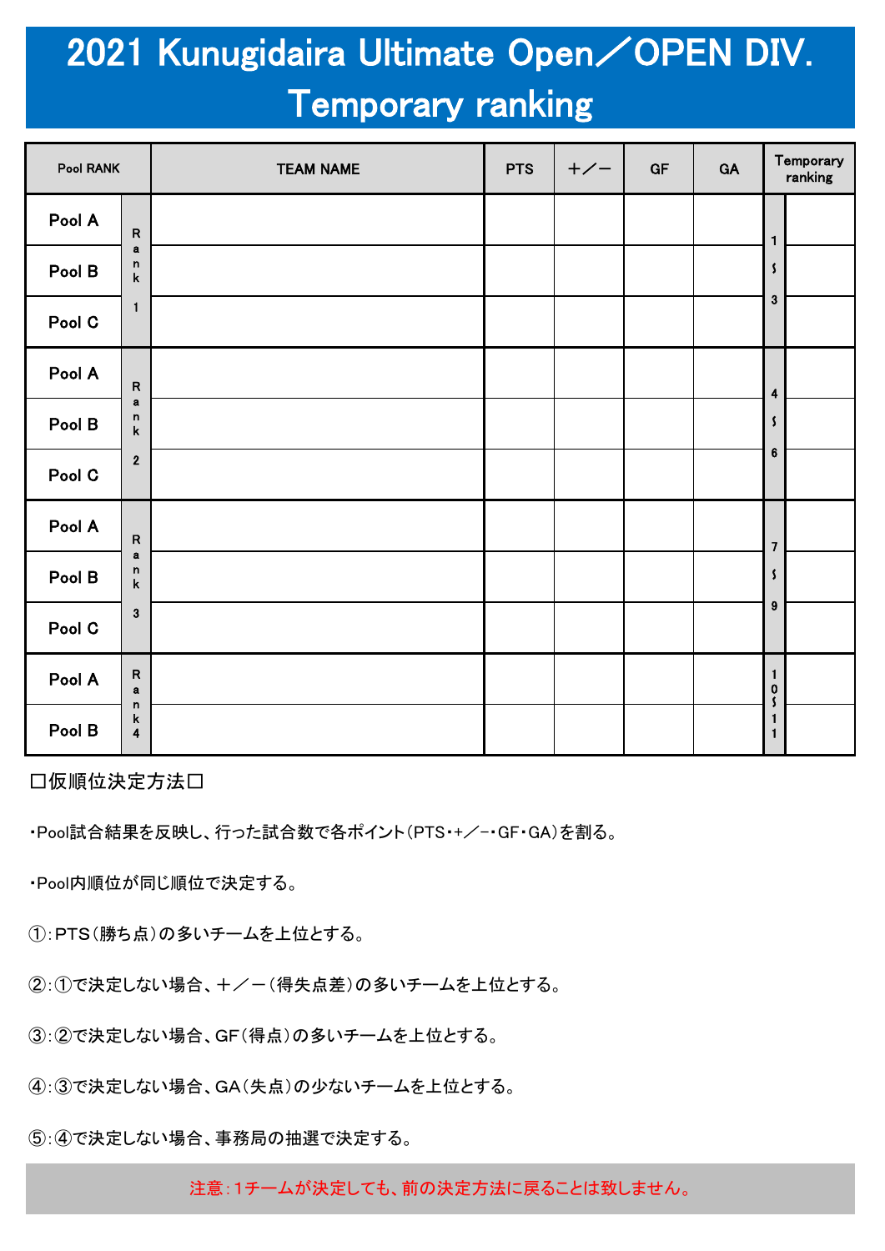## 2021 Kunugidaira Ultimate Open/OPEN DIV. Temporary ranking

| Pool RANK |                                                       | <b>TEAM NAME</b> | <b>PTS</b> | $+/-$ | GF | GA | Temporary<br>ranking                                       |
|-----------|-------------------------------------------------------|------------------|------------|-------|----|----|------------------------------------------------------------|
| Pool A    | ${\sf R}$                                             |                  |            |       |    |    | $\mathbf{1}$                                               |
| Pool B    | $\mathbf a$<br>$\mathsf n$<br>$\mathsf k$             |                  |            |       |    |    | $\mathsf{\mathcal{S}}$                                     |
| Pool C    | $\mathbf{1}$                                          |                  |            |       |    |    | $\mathbf 3$                                                |
| Pool A    | ${\sf R}$                                             |                  |            |       |    |    | $\ddot{\mathbf{4}}$                                        |
| Pool B    | $\mathbf a$<br>$\mathsf n$<br>$\pmb{\mathsf{k}}$      |                  |            |       |    |    | $\mathbf{S}$                                               |
| Pool C    | $\bf 2$                                               |                  |            |       |    |    | $\bf 6$                                                    |
| Pool A    | ${\sf R}$                                             |                  |            |       |    |    | $\overline{\mathbf{z}}$                                    |
| Pool B    | a<br>$\mathsf n$<br>$\sf k$                           |                  |            |       |    |    | $\mathsf{\mathcal{S}}$                                     |
| Pool C    | $\mathbf{3}$                                          |                  |            |       |    |    | $\boldsymbol{9}$                                           |
| Pool A    | ${\sf R}$<br>$\mathbf a$                              |                  |            |       |    |    | $\mathbf{1}$<br>$\begin{smallmatrix}0\\5\end{smallmatrix}$ |
| Pool B    | $\mathsf n$<br>$\mathsf k$<br>$\overline{\mathbf{4}}$ |                  |            |       |    |    | $\mathbf{1}$<br>$\mathbf{1}$                               |

□仮順位決定方法□

・Pool試合結果を反映し、行った試合数で各ポイント(PTS・+/-・GF・GA)を割る。

・Pool内順位が同じ順位で決定する。

①:PTS(勝ち点)の多いチームを上位とする。

②:①で決定しない場合、+/-(得失点差)の多いチームを上位とする。

③:②で決定しない場合、GF(得点)の多いチームを上位とする。

④:③で決定しない場合、GA(失点)の少ないチームを上位とする。

⑤:④で決定しない場合、事務局の抽選で決定する。

注意:1チームが決定しても、前の決定方法に戻ることは致しません。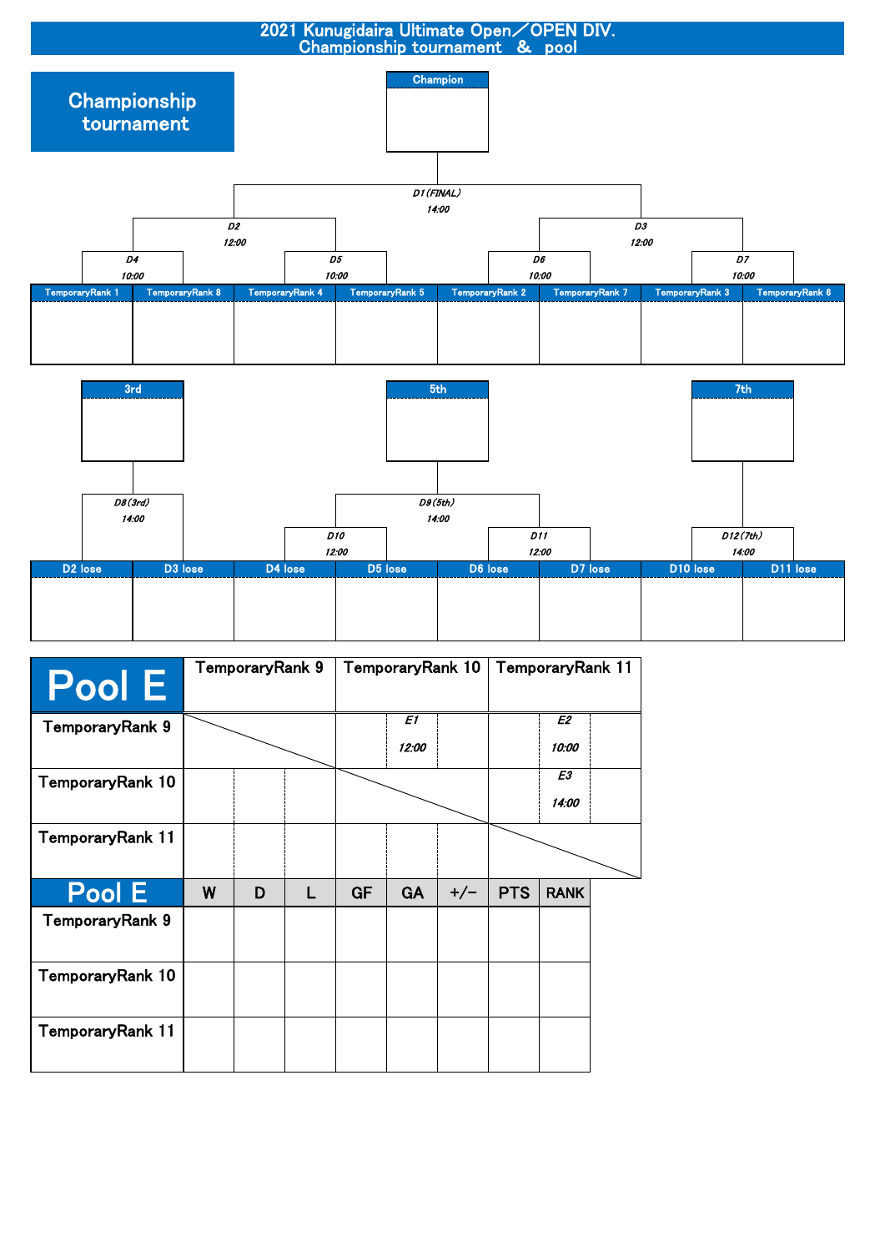

| Pool E           | TemporaryRank 9 |   |   |           |             |       | TemporaryRank 10 |             |  |  | TemporaryRank 11 |  |
|------------------|-----------------|---|---|-----------|-------------|-------|------------------|-------------|--|--|------------------|--|
| TemporaryRank 9  |                 |   |   |           | E1<br>12:00 |       |                  | E2<br>10:00 |  |  |                  |  |
| TemporaryRank 10 |                 |   |   |           |             |       |                  | E3<br>14:00 |  |  |                  |  |
| TemporaryRank 11 |                 |   |   |           |             |       |                  |             |  |  |                  |  |
| Pool E           | W               | D | L | <b>GF</b> | <b>GA</b>   | $+/-$ | <b>PTS</b>       | <b>RANK</b> |  |  |                  |  |
| TemporaryRank 9  |                 |   |   |           |             |       |                  |             |  |  |                  |  |
| TemporaryRank 10 |                 |   |   |           |             |       |                  |             |  |  |                  |  |
| TemporaryRank 11 |                 |   |   |           |             |       |                  |             |  |  |                  |  |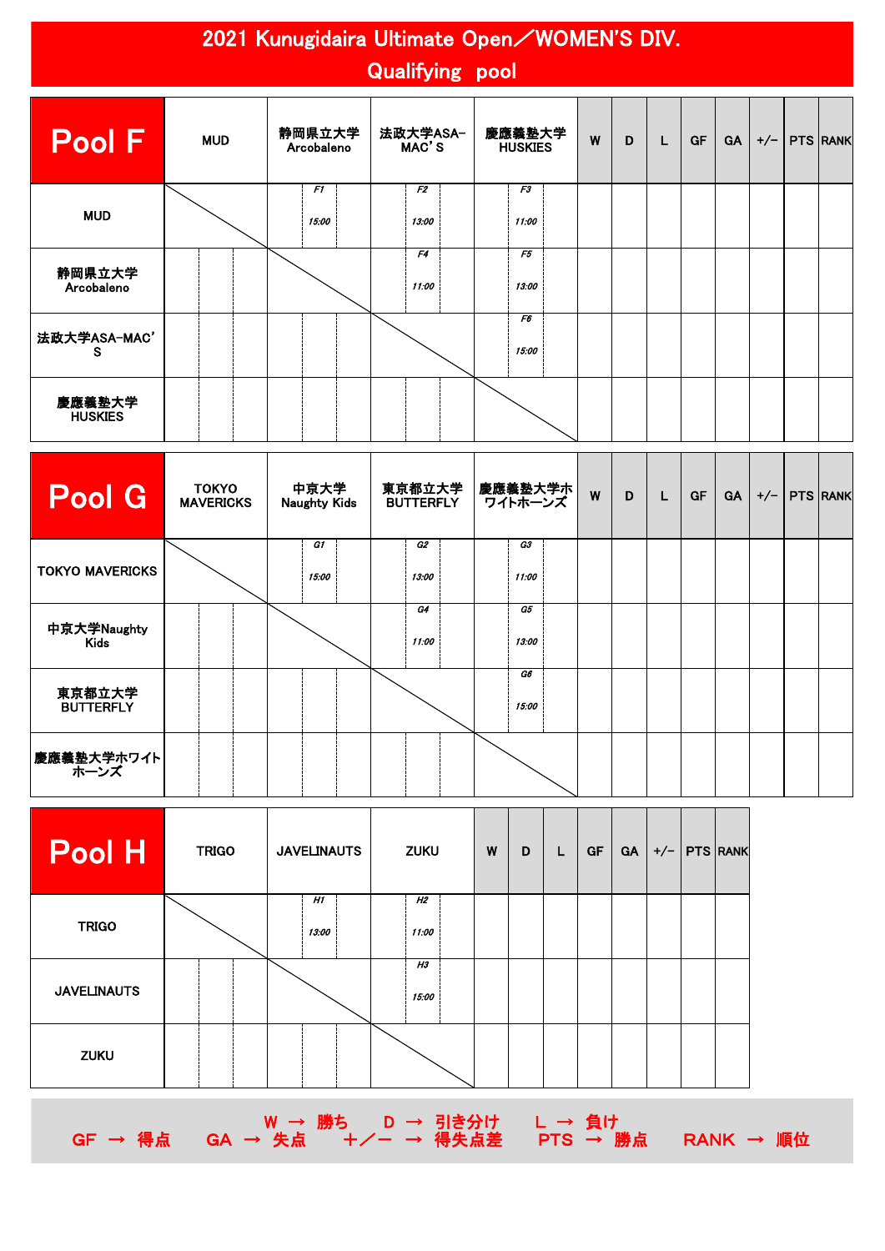### 2021 Kunugidaira Ultimate Open/WOMEN'S DIV. Qualifying pool

| Pool F                   | <b>MUD</b> | 静岡県立大学<br>Arcobaleno | 法政大学ASA-<br>MAC'S | 慶應義塾大学<br><b>HUSKIES</b> | W | D | L | GF | <b>GA</b> | $+/-$ | PTS RANK |
|--------------------------|------------|----------------------|-------------------|--------------------------|---|---|---|----|-----------|-------|----------|
| <b>MUD</b>               |            | F1<br>15:00          | F2<br>13:00       | F3<br>11:00              |   |   |   |    |           |       |          |
| 静岡県立大学<br>Arcobaleno     |            |                      | F4<br>11:00       | F5<br>13:00              |   |   |   |    |           |       |          |
| 法政大学ASA-MAC'<br>s        |            |                      |                   | F6<br>15:00              |   |   |   |    |           |       |          |
| 慶應義塾大学<br><b>HUSKIES</b> |            |                      |                   |                          |   |   |   |    |           |       |          |

| Pool G                     | <b>TOKYO</b><br><b>MAVERICKS</b> | 中京大学<br><b>Naughty Kids</b> | 東京都立大学<br><b>BUTTERFLY</b> | 慶應義塾大学ホ <br>ワイトホーンズ | W | D | L | <b>GF</b> | <b>GA</b> | $+/-$ | <b>PTS RANK</b> |  |
|----------------------------|----------------------------------|-----------------------------|----------------------------|---------------------|---|---|---|-----------|-----------|-------|-----------------|--|
| <b>TOKYO MAVERICKS</b>     |                                  | G1<br>15:00                 | G2<br>13:00                | G3<br>11:00         |   |   |   |           |           |       |                 |  |
| 中京大学Naughty<br>Kids        |                                  |                             | G4<br>11:00                | G5<br>13:00         |   |   |   |           |           |       |                 |  |
| 東京都立大学<br><b>BUTTERFLY</b> |                                  |                             |                            | G6<br>15:00         |   |   |   |           |           |       |                 |  |
| 慶應義塾大学ホワイト<br>ホーンズ         |                                  |                             |                            |                     |   |   |   |           |           |       |                 |  |

| Pool H             | <b>TRIGO</b> | <b>JAVELINAUTS</b> | <b>ZUKU</b> | W | D | L | GF | <b>GA</b> | $+/-$   PTS   RANK |  |
|--------------------|--------------|--------------------|-------------|---|---|---|----|-----------|--------------------|--|
| <b>TRIGO</b>       |              | H1<br>13:00        | H2<br>11:00 |   |   |   |    |           |                    |  |
| <b>JAVELINAUTS</b> |              |                    | H3<br>15:00 |   |   |   |    |           |                    |  |
| <b>ZUKU</b>        |              |                    |             |   |   |   |    |           |                    |  |



GF → 得点 GA → 失点 +/- → 得失点差 PTS → 勝点 RANK → 順位

W → 勝ち D → 引き分け L → 負け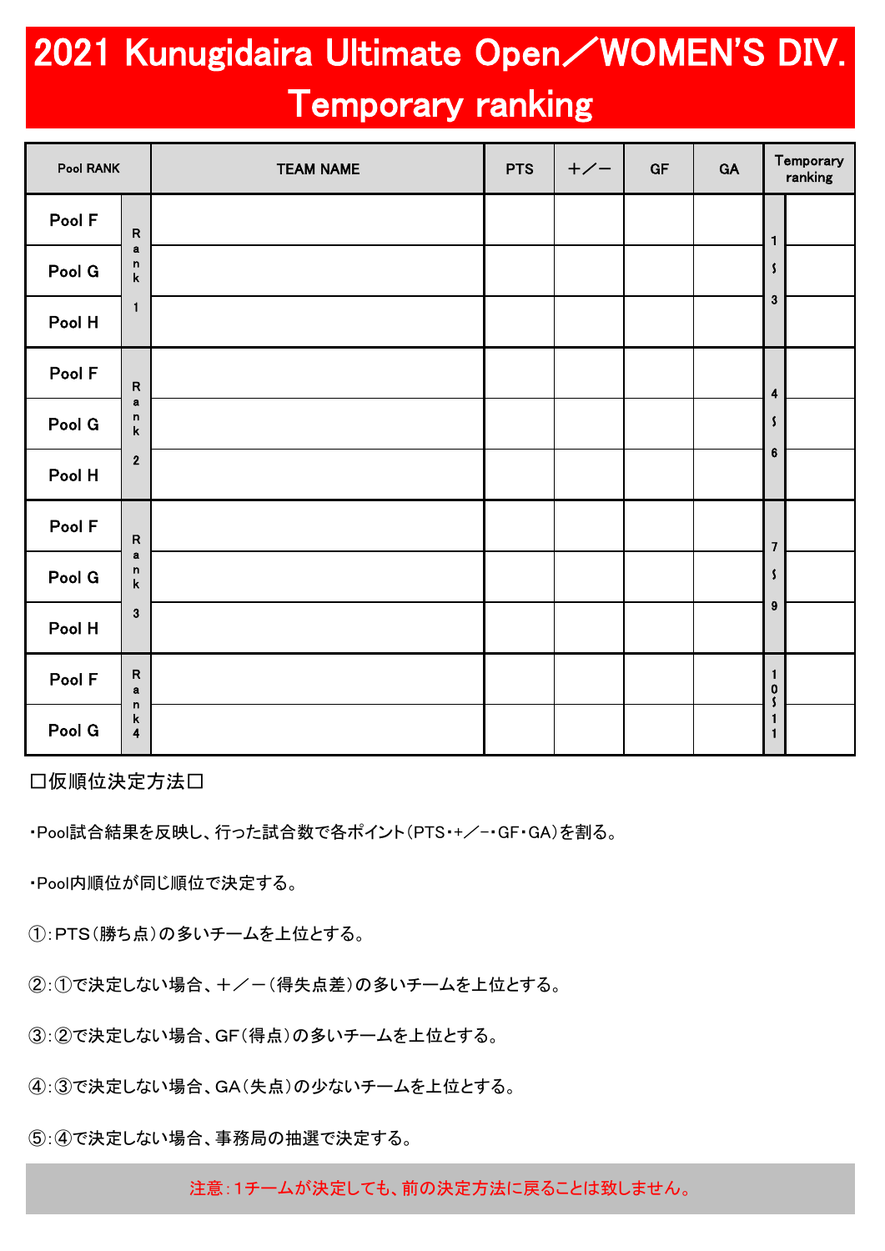# 2021 Kunugidaira Ultimate Open/WOMEN'S DIV. Temporary ranking

| Pool RANK |                                             | <b>TEAM NAME</b> | <b>PTS</b> | $+/-$ | GF | GA | Temporary<br>ranking          |
|-----------|---------------------------------------------|------------------|------------|-------|----|----|-------------------------------|
| Pool F    | ${\sf R}$                                   |                  |            |       |    |    | $\mathbf{1}$                  |
| Pool G    | $\mathbf a$<br>n<br>$\pmb{k}$               |                  |            |       |    |    | $\mathbf{S}$                  |
| Pool H    | $\mathbf{1}$                                |                  |            |       |    |    | $\mathbf{3}$                  |
| Pool F    | ${\sf R}$                                   |                  |            |       |    |    | $\overline{\mathbf{4}}$       |
| Pool G    | $\mathbf a$<br>$\mathsf n$<br>$\mathsf k$   |                  |            |       |    |    | $\mathbf{S}$                  |
| Pool H    | $\boldsymbol{2}$                            |                  |            |       |    |    | $\bf 6$                       |
| Pool F    | ${\sf R}$                                   |                  |            |       |    |    | $\overline{\mathbf{z}}$       |
| Pool G    | $\mathbf a$<br>n<br>$\mathsf k$             |                  |            |       |    |    | $\boldsymbol{\zeta}$          |
| Pool H    | $\mathbf{3}$                                |                  |            |       |    |    | $\pmb{9}$                     |
| Pool F    | ${\sf R}$<br>$\mathbf a$                    |                  |            |       |    |    | $\mathbf{1}$<br>$\frac{0}{5}$ |
| Pool G    | $\mathsf n$<br>k<br>$\overline{\mathbf{4}}$ |                  |            |       |    |    | 1<br>$\mathbf{1}$             |

□仮順位決定方法□

・Pool試合結果を反映し、行った試合数で各ポイント(PTS・+/-・GF・GA)を割る。

・Pool内順位が同じ順位で決定する。

①:PTS(勝ち点)の多いチームを上位とする。

②:①で決定しない場合、+/-(得失点差)の多いチームを上位とする。

③:②で決定しない場合、GF(得点)の多いチームを上位とする。

④:③で決定しない場合、GA(失点)の少ないチームを上位とする。

⑤:④で決定しない場合、事務局の抽選で決定する。

注意:1チームが決定しても、前の決定方法に戻ることは致しません。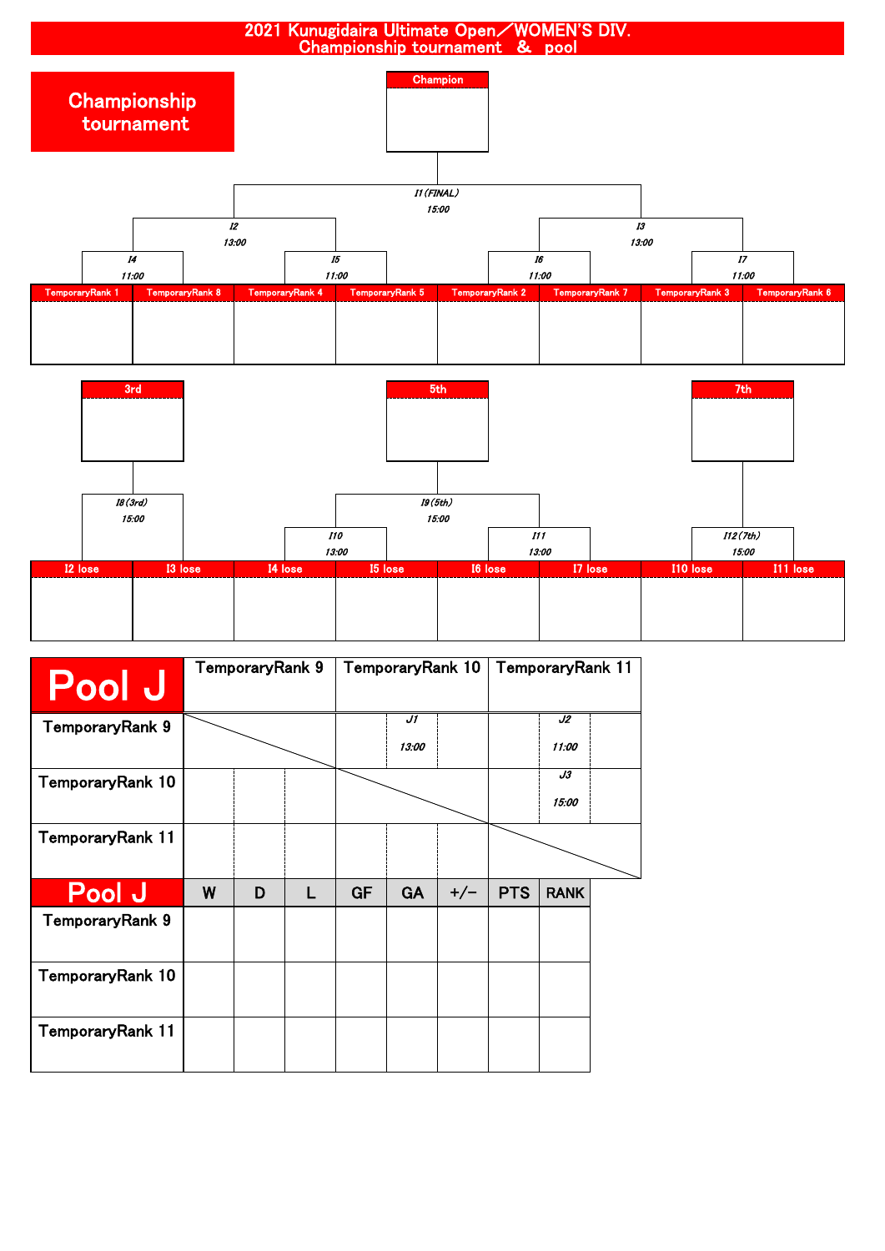

| <b>Pool J</b>    |   | TemporaryRank 9 |   | TemporaryRank 10 |             |       | TemporaryRank 11 |             |  |
|------------------|---|-----------------|---|------------------|-------------|-------|------------------|-------------|--|
| TemporaryRank 9  |   |                 |   |                  | J1<br>13:00 |       |                  | J2<br>11:00 |  |
|                  |   |                 |   |                  |             |       |                  |             |  |
| TemporaryRank 10 |   |                 |   |                  |             |       |                  | J3          |  |
|                  |   |                 |   |                  |             |       |                  | 15:00       |  |
| TemporaryRank 11 |   |                 |   |                  |             |       |                  |             |  |
| <b>Pool J</b>    | W | D               | L | <b>GF</b>        | <b>GA</b>   | $+/-$ | <b>PTS</b>       | <b>RANK</b> |  |
| TemporaryRank 9  |   |                 |   |                  |             |       |                  |             |  |
| TemporaryRank 10 |   |                 |   |                  |             |       |                  |             |  |
| TemporaryRank 11 |   |                 |   |                  |             |       |                  |             |  |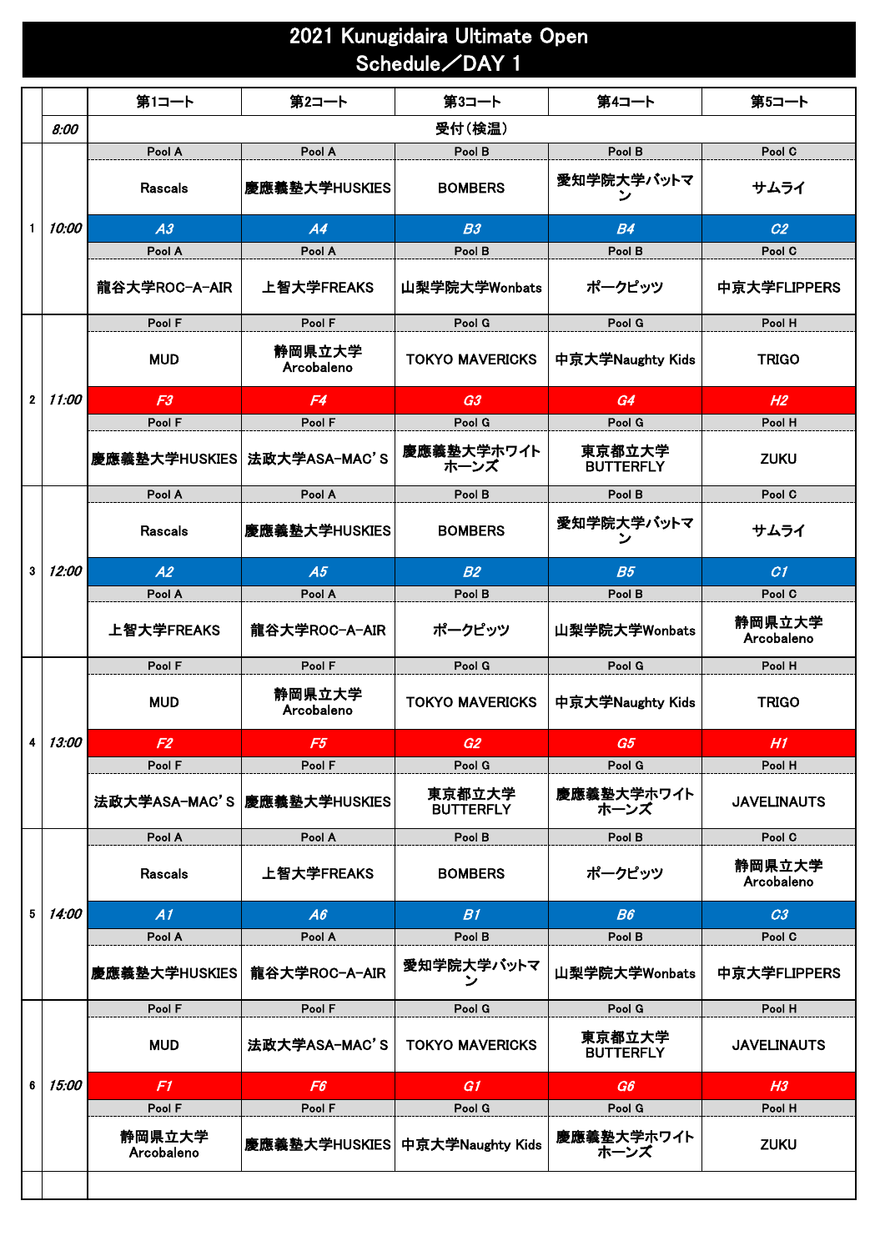### 2021 Kunugidaira Ultimate Open Schedule/DAY 1

|              |                     | 第1コート                       | 第2コート                       | 第3コート                      | 第4コート                      | 第5コート                |
|--------------|---------------------|-----------------------------|-----------------------------|----------------------------|----------------------------|----------------------|
|              | 8:00                |                             |                             | 受付(検温)                     |                            |                      |
|              |                     | Pool A                      | Pool A                      | Pool B                     | Pool B                     | Pool C               |
|              |                     | <b>Rascals</b>              | 慶應義塾大学HUSKIES               | <b>BOMBERS</b>             | 愛知学院大学バットマ<br>ン            | サムライ                 |
| $\mathbf{1}$ | 10:00               | A3                          | A4                          | B3                         | <b>B4</b>                  | C <sub>2</sub>       |
|              |                     | Pool A                      | Pool A                      | Pool B                     | Pool B                     | Pool C               |
|              |                     | 龍谷大学ROC-A-AIR               | 上智大学FREAKS                  | 山梨学院大学Wonbats              | ポークピッツ                     | 中京大学FLIPPERS         |
|              |                     | Pool F                      | Pool F                      | Pool G                     | Pool G                     | Pool H               |
|              |                     | <b>MUD</b>                  | 静岡県立大学<br>Arcobaleno        | <b>TOKYO MAVERICKS</b>     | 中京大学Naughty Kids           | <b>TRIGO</b>         |
| $\mathbf{2}$ | 11:00               | F3                          | F4                          | G3                         | G4                         | H <sub>2</sub>       |
|              |                     | Pool F                      | Pool F                      | Pool G                     | Pool G                     | Pool H               |
|              |                     | 慶應義塾大学HUSKIES 法政大学ASA-MAC'S |                             | 慶應義塾大学ホワイト<br>ホーンズ         | 東京都立大学<br><b>BUTTERFLY</b> | <b>ZUKU</b>          |
|              |                     | Pool A                      | Pool A                      | Pool B                     | Pool B                     | Pool C               |
|              |                     | <b>Rascals</b>              | 慶應義塾大学HUSKIES               | <b>BOMBERS</b>             | 愛知学院大学バットマ<br>ン            | サムライ                 |
| 3            | 12:00               | A2                          | A5                          | B2                         | B <sub>5</sub>             | CI                   |
|              |                     | Pool A                      | Pool A                      | Pool B                     | Pool B                     | Pool C               |
|              |                     | 上智大学FREAKS                  | 龍谷大学ROC-A-AIR               | ポークピッツ                     | 山梨学院大学Wonbats              | 静岡県立大学<br>Arcobaleno |
|              |                     | Pool F                      | Pool F                      | Pool G                     | Pool G                     | Pool H               |
|              |                     | <b>MUD</b>                  | 静岡県立大学<br>Arcobaleno        | <b>TOKYO MAVERICKS</b>     | 中京大学Naughty Kids           | <b>TRIGO</b>         |
| 4            | 13:00               | F2                          | F5                          | G2                         | G5                         | H1                   |
|              |                     | Pool F                      | Pool F                      | Pool G                     | Pool G                     | Pool H               |
|              |                     |                             | 法政大学ASA-MAC'S 慶應義塾大学HUSKIES | 東京都立大学<br><b>BUTTERFLY</b> | 慶應義塾大学ホワイト<br>ホーンズ         | <b>JAVELINAUTS</b>   |
|              |                     | Pool A                      | Pool A                      | Pool B                     | Pool B                     | Pool C               |
|              |                     | <b>Rascals</b>              | 上智大学FREAKS                  | <b>BOMBERS</b>             | ポークピッツ                     | 静岡県立大学<br>Arcobaleno |
| 5            | 14:00               | A1                          | A6                          | B1                         | B6                         | C <sub>3</sub>       |
|              |                     | Pool A                      | Pool A                      | Pool B                     | Pool B                     | Pool C               |
|              |                     | 慶應義塾大学HUSKIES               | 龍谷大学ROC-A-AIR               | 愛知学院大学バットマ<br>ン            | 山梨学院大学Wonbats              | 中京大学FLIPPERS         |
|              |                     | Pool F                      | Pool F                      | Pool G                     | Pool G                     | Pool H               |
|              |                     | <b>MUD</b>                  | 法政大学ASA-MAC'S               | <b>TOKYO MAVERICKS</b>     | 東京都立大学<br><b>BUTTERFLY</b> | <b>JAVELINAUTS</b>   |
| 6            | <i><b>15:00</b></i> | F1.                         | F <sub>6</sub>              | G1                         | G6                         | H <sub>3</sub>       |
|              |                     | Pool F                      | Pool F                      | Pool G                     | Pool G                     | Pool H               |
|              |                     | 静岡県立大学<br>Arcobaleno        | 慶應義塾大学HUSKIES               | 中京大学Naughty Kids           | 慶應義塾大学ホワイト<br>ホーンズ         | <b>ZUKU</b>          |
|              |                     |                             |                             |                            |                            |                      |